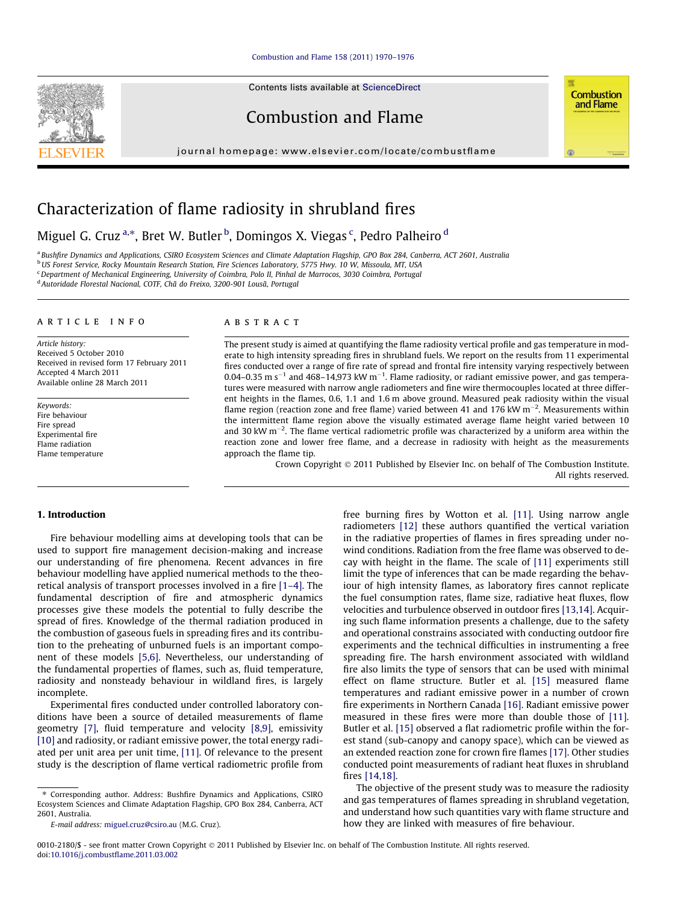# [Combustion and Flame 158 \(2011\) 1970–1976](http://dx.doi.org/10.1016/j.combustflame.2011.03.002)

Contents lists available at [ScienceDirect](http://www.sciencedirect.com/science/journal/00102180)

Combustion and Flame

journal homepage: [www.elsevier.com/locate/combustflame](http://www.elsevier.com/locate/combustflame)



# Characterization of flame radiosity in shrubland fires

Miguel G. Cruz <sup>a,</sup>\*, Bret W. Butler <sup>b</sup>, Domingos X. Viegas <sup>c</sup>, Pedro Palheiro <sup>d</sup>

a Bushfire Dynamics and Applications, CSIRO Ecosystem Sciences and Climate Adaptation Flagship, GPO Box 284, Canberra, ACT 2601, Australia

**b US Forest Service, Rocky Mountain Research Station, Fire Sciences Laboratory, 5775 Hwy. 10 W, Missoula, MT, USA** 

<sup>c</sup> Department of Mechanical Engineering, University of Coimbra, Polo II, Pinhal de Marrocos, 3030 Coimbra, Portugal

<sup>d</sup> Autoridade Florestal Nacional, COTF, Chã do Freixo, 3200-901 Lousã, Portugal

#### article info

Article history: Received 5 October 2010 Received in revised form 17 February 2011 Accepted 4 March 2011 Available online 28 March 2011

Keywords: Fire behaviour Fire spread Experimental fire Flame radiation Flame temperature

#### ABSTRACT

The present study is aimed at quantifying the flame radiosity vertical profile and gas temperature in moderate to high intensity spreading fires in shrubland fuels. We report on the results from 11 experimental fires conducted over a range of fire rate of spread and frontal fire intensity varying respectively between 0.04–0.35 m s<sup>-1</sup> and 468–14,973 kW m<sup>-1</sup>. Flame radiosity, or radiant emissive power, and gas temperatures were measured with narrow angle radiometers and fine wire thermocouples located at three different heights in the flames, 0.6, 1.1 and 1.6 m above ground. Measured peak radiosity within the visual flame region (reaction zone and free flame) varied between 41 and 176 kW  $\text{m}^{-2}$ . Measurements within the intermittent flame region above the visually estimated average flame height varied between 10 and 30 kW  $\text{m}^{-2}$ . The flame vertical radiometric profile was characterized by a uniform area within the reaction zone and lower free flame, and a decrease in radiosity with height as the measurements approach the flame tip.

Crown Copyright  $\circledcirc$  2011 Published by Elsevier Inc. on behalf of The Combustion Institute. All rights reserved.

# 1. Introduction

Fire behaviour modelling aims at developing tools that can be used to support fire management decision-making and increase our understanding of fire phenomena. Recent advances in fire behaviour modelling have applied numerical methods to the theoretical analysis of transport processes involved in a fire [\[1–4\]](#page-5-0). The fundamental description of fire and atmospheric dynamics processes give these models the potential to fully describe the spread of fires. Knowledge of the thermal radiation produced in the combustion of gaseous fuels in spreading fires and its contribution to the preheating of unburned fuels is an important component of these models [\[5,6\]](#page-5-0). Nevertheless, our understanding of the fundamental properties of flames, such as, fluid temperature, radiosity and nonsteady behaviour in wildland fires, is largely incomplete.

Experimental fires conducted under controlled laboratory conditions have been a source of detailed measurements of flame geometry [\[7\],](#page-5-0) fluid temperature and velocity [\[8,9\]](#page-5-0), emissivity [\[10\]](#page-5-0) and radiosity, or radiant emissive power, the total energy radiated per unit area per unit time, [\[11\]](#page-5-0). Of relevance to the present study is the description of flame vertical radiometric profile from

⇑ Corresponding author. Address: Bushfire Dynamics and Applications, CSIRO Ecosystem Sciences and Climate Adaptation Flagship, GPO Box 284, Canberra, ACT 2601, Australia.

E-mail address: [miguel.cruz@csiro.au](mailto:miguel.cruz@csiro.au) (M.G. Cruz).

free burning fires by Wotton et al. [\[11\].](#page-5-0) Using narrow angle radiometers [\[12\]](#page-5-0) these authors quantified the vertical variation in the radiative properties of flames in fires spreading under nowind conditions. Radiation from the free flame was observed to decay with height in the flame. The scale of [\[11\]](#page-5-0) experiments still limit the type of inferences that can be made regarding the behaviour of high intensity flames, as laboratory fires cannot replicate the fuel consumption rates, flame size, radiative heat fluxes, flow velocities and turbulence observed in outdoor fires [\[13,14\].](#page-5-0) Acquiring such flame information presents a challenge, due to the safety and operational constrains associated with conducting outdoor fire experiments and the technical difficulties in instrumenting a free spreading fire. The harsh environment associated with wildland fire also limits the type of sensors that can be used with minimal effect on flame structure. Butler et al. [\[15\]](#page-5-0) measured flame temperatures and radiant emissive power in a number of crown fire experiments in Northern Canada [\[16\]](#page-5-0). Radiant emissive power measured in these fires were more than double those of [\[11\].](#page-5-0) Butler et al. [\[15\]](#page-5-0) observed a flat radiometric profile within the forest stand (sub-canopy and canopy space), which can be viewed as an extended reaction zone for crown fire flames [\[17\]](#page-5-0). Other studies conducted point measurements of radiant heat fluxes in shrubland fires [\[14,18\].](#page-5-0)

**Combustion** and Flame

The objective of the present study was to measure the radiosity and gas temperatures of flames spreading in shrubland vegetation, and understand how such quantities vary with flame structure and how they are linked with measures of fire behaviour.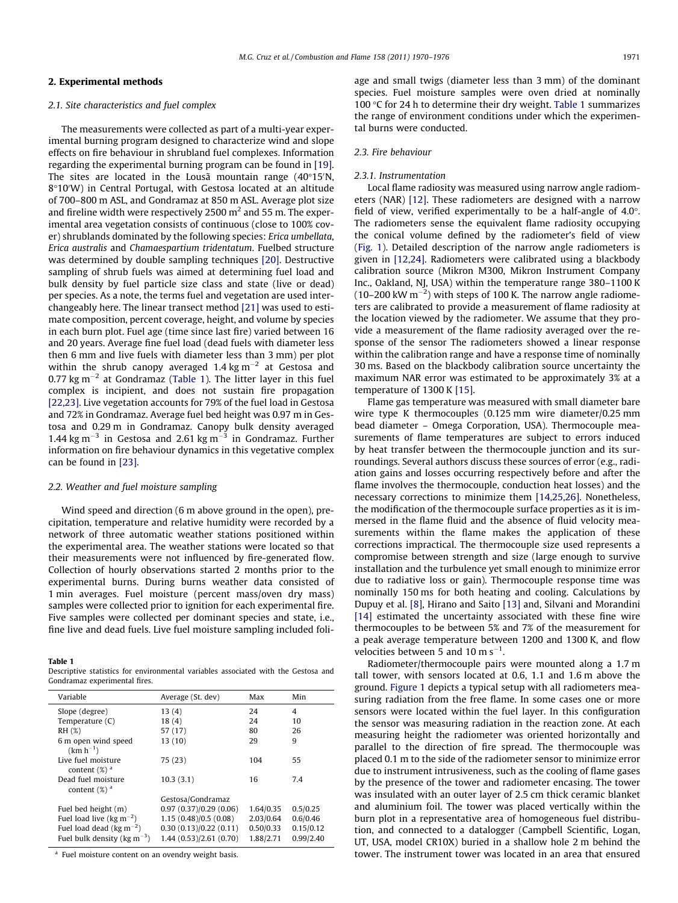# 2. Experimental methods

# 2.1. Site characteristics and fuel complex

The measurements were collected as part of a multi-year experimental burning program designed to characterize wind and slope effects on fire behaviour in shrubland fuel complexes. Information regarding the experimental burning program can be found in [\[19\].](#page-5-0) The sites are located in the Lousã mountain range  $(40^{\circ}15^{\prime}N,$ 8°10'W) in Central Portugal, with Gestosa located at an altitude of 700–800 m ASL, and Gondramaz at 850 m ASL. Average plot size and fireline width were respectively 2500  $m<sup>2</sup>$  and 55 m. The experimental area vegetation consists of continuous (close to 100% cover) shrublands dominated by the following species: Erica umbellata, Erica australis and Chamaespartium tridentatum. Fuelbed structure was determined by double sampling techniques [\[20\]](#page-5-0). Destructive sampling of shrub fuels was aimed at determining fuel load and bulk density by fuel particle size class and state (live or dead) per species. As a note, the terms fuel and vegetation are used interchangeably here. The linear transect method [\[21\]](#page-5-0) was used to estimate composition, percent coverage, height, and volume by species in each burn plot. Fuel age (time since last fire) varied between 16 and 20 years. Average fine fuel load (dead fuels with diameter less then 6 mm and live fuels with diameter less than 3 mm) per plot within the shrub canopy averaged 1.4 kg  $\mathrm{m}^{-2}$  at Gestosa and 0.77 kg m $^{-2}$  at Gondramaz (Table 1). The litter layer in this fuel complex is incipient, and does not sustain fire propagation [\[22,23\]](#page-6-0). Live vegetation accounts for 79% of the fuel load in Gestosa and 72% in Gondramaz. Average fuel bed height was 0.97 m in Gestosa and 0.29 m in Gondramaz. Canopy bulk density averaged 1.44 kg m<sup>-3</sup> in Gestosa and 2.61 kg m<sup>-3</sup> in Gondramaz. Further information on fire behaviour dynamics in this vegetative complex can be found in [\[23\]](#page-6-0).

# 2.2. Weather and fuel moisture sampling

Wind speed and direction (6 m above ground in the open), precipitation, temperature and relative humidity were recorded by a network of three automatic weather stations positioned within the experimental area. The weather stations were located so that their measurements were not influenced by fire-generated flow. Collection of hourly observations started 2 months prior to the experimental burns. During burns weather data consisted of 1 min averages. Fuel moisture (percent mass/oven dry mass) samples were collected prior to ignition for each experimental fire. Five samples were collected per dominant species and state, i.e., fine live and dead fuels. Live fuel moisture sampling included foli-

## Table 1

Descriptive statistics for environmental variables associated with the Gestosa and Gondramaz experimental fires.

| Variable                                          | Average (St. dev)     | Max       | Min       |
|---------------------------------------------------|-----------------------|-----------|-----------|
| Slope (degree)                                    | 13(4)                 | 24        | 4         |
| Temperature $(C)$                                 | 18(4)                 | 24        | 10        |
| RH (%)                                            | 57 (17)               | 80        | 26        |
| 6 m open wind speed<br>$(km h^{-1})$              | 13 (10)               | 29        | 9         |
| Live fuel moisture<br>content $(\%)$ <sup>a</sup> | 75 (23)               | 104       | 55        |
| Dead fuel moisture<br>content $(\%)^a$            | 10.3(3.1)             | 16        | 7.4       |
|                                                   | Gestosa/Gondramaz     |           |           |
| Fuel bed height (m)                               | 0.97(0.37)/0.29(0.06) | 1.64/0.35 | 0.5/0.25  |
| Fuel load live ( $\text{kg m}^{-2}$ )             | 1.15(0.48)/0.5(0.08)  | 2.03/0.64 | 0.6/0.46  |
| Fuel load dead ( $\text{kg m}^{-2}$ )             | 0.30(0.13)/0.22(0.11) | 0.50/0.33 | 0.15/0.12 |
| Fuel bulk density ( $\text{kg m}^{-3}$ )          | 1.44(0.53)/2.61(0.70) | 1.88/2.71 | 0.99/2.40 |

<sup>a</sup> Fuel moisture content on an ovendry weight basis.

age and small twigs (diameter less than 3 mm) of the dominant species. Fuel moisture samples were oven dried at nominally 100  $\degree$ C for 24 h to determine their dry weight. Table 1 summarizes the range of environment conditions under which the experimental burns were conducted.

#### 2.3. Fire behaviour

#### 2.3.1. Instrumentation

Local flame radiosity was measured using narrow angle radiometers (NAR) [\[12\].](#page-5-0) These radiometers are designed with a narrow field of view, verified experimentally to be a half-angle of  $4.0^\circ$ . The radiometers sense the equivalent flame radiosity occupying the conical volume defined by the radiometer's field of view ([Fig. 1\)](#page-2-0). Detailed description of the narrow angle radiometers is given in [\[12,24\]](#page-5-0). Radiometers were calibrated using a blackbody calibration source (Mikron M300, Mikron Instrument Company Inc., Oakland, NJ, USA) within the temperature range 380–1100 K (10–200 kW  $m^{-2}$ ) with steps of 100 K. The narrow angle radiometers are calibrated to provide a measurement of flame radiosity at the location viewed by the radiometer. We assume that they provide a measurement of the flame radiosity averaged over the response of the sensor The radiometers showed a linear response within the calibration range and have a response time of nominally 30 ms. Based on the blackbody calibration source uncertainty the maximum NAR error was estimated to be approximately 3% at a temperature of 1300 K [\[15\].](#page-5-0)

Flame gas temperature was measured with small diameter bare wire type K thermocouples (0.125 mm wire diameter/0.25 mm bead diameter – Omega Corporation, USA). Thermocouple measurements of flame temperatures are subject to errors induced by heat transfer between the thermocouple junction and its surroundings. Several authors discuss these sources of error (e.g., radiation gains and losses occurring respectively before and after the flame involves the thermocouple, conduction heat losses) and the necessary corrections to minimize them [\[14,25,26\]](#page-5-0). Nonetheless, the modification of the thermocouple surface properties as it is immersed in the flame fluid and the absence of fluid velocity measurements within the flame makes the application of these corrections impractical. The thermocouple size used represents a compromise between strength and size (large enough to survive installation and the turbulence yet small enough to minimize error due to radiative loss or gain). Thermocouple response time was nominally 150 ms for both heating and cooling. Calculations by Dupuy et al. [\[8\]](#page-5-0), Hirano and Saito [\[13\]](#page-5-0) and, Silvani and Morandini [\[14\]](#page-5-0) estimated the uncertainty associated with these fine wire thermocouples to be between 5% and 7% of the measurement for a peak average temperature between 1200 and 1300 K, and flow velocities between 5 and 10 m  $s^{-1}$ .

Radiometer/thermocouple pairs were mounted along a 1.7 m tall tower, with sensors located at 0.6, 1.1 and 1.6 m above the ground. [Figure 1](#page-2-0) depicts a typical setup with all radiometers measuring radiation from the free flame. In some cases one or more sensors were located within the fuel layer. In this configuration the sensor was measuring radiation in the reaction zone. At each measuring height the radiometer was oriented horizontally and parallel to the direction of fire spread. The thermocouple was placed 0.1 m to the side of the radiometer sensor to minimize error due to instrument intrusiveness, such as the cooling of flame gases by the presence of the tower and radiometer encasing. The tower was insulated with an outer layer of 2.5 cm thick ceramic blanket and aluminium foil. The tower was placed vertically within the burn plot in a representative area of homogeneous fuel distribution, and connected to a datalogger (Campbell Scientific, Logan, UT, USA, model CR10X) buried in a shallow hole 2 m behind the tower. The instrument tower was located in an area that ensured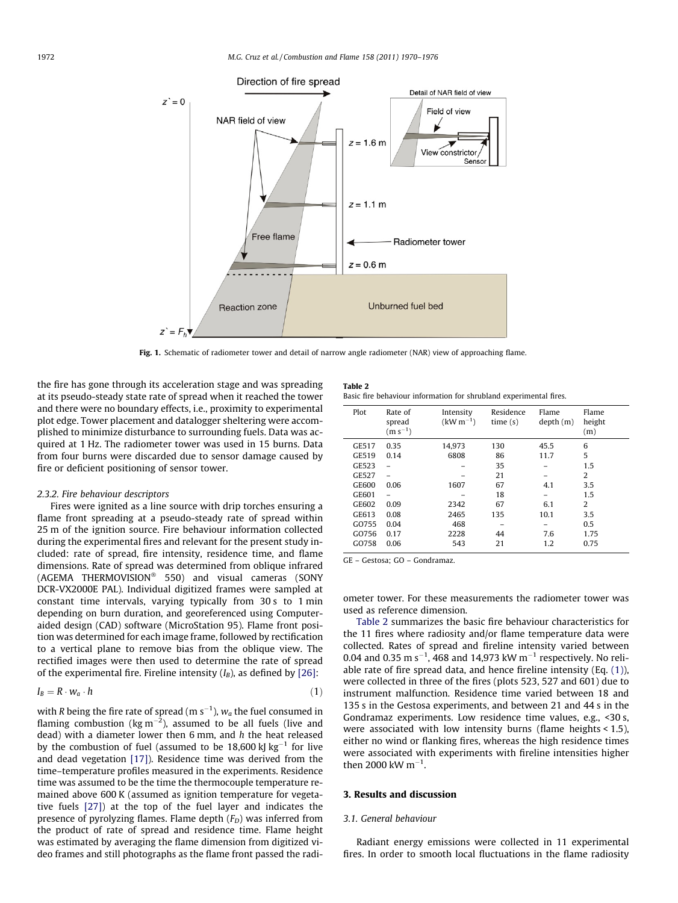<span id="page-2-0"></span>

Fig. 1. Schematic of radiometer tower and detail of narrow angle radiometer (NAR) view of approaching flame.

the fire has gone through its acceleration stage and was spreading at its pseudo-steady state rate of spread when it reached the tower and there were no boundary effects, i.e., proximity to experimental plot edge. Tower placement and datalogger sheltering were accomplished to minimize disturbance to surrounding fuels. Data was acquired at 1 Hz. The radiometer tower was used in 15 burns. Data from four burns were discarded due to sensor damage caused by fire or deficient positioning of sensor tower.

## 2.3.2. Fire behaviour descriptors

Fires were ignited as a line source with drip torches ensuring a flame front spreading at a pseudo-steady rate of spread within 25 m of the ignition source. Fire behaviour information collected during the experimental fires and relevant for the present study included: rate of spread, fire intensity, residence time, and flame dimensions. Rate of spread was determined from oblique infrared  $(AGEMA$  THERMOVISION<sup>®</sup> 550) and visual cameras  $(SONY)$ DCR-VX2000E PAL). Individual digitized frames were sampled at constant time intervals, varying typically from 30 s to 1 min depending on burn duration, and georeferenced using Computeraided design (CAD) software (MicroStation 95). Flame front position was determined for each image frame, followed by rectification to a vertical plane to remove bias from the oblique view. The rectified images were then used to determine the rate of spread of the experimental fire. Fireline intensity  $(I_B)$ , as defined by [\[26\]](#page-6-0):

$$
I_B = R \cdot w_a \cdot h \tag{1}
$$

with R being the fire rate of spread (m s $^{-1}$ ),  $w_a$  the fuel consumed in flaming combustion ( $\text{kg m}^{-2}$ ), assumed to be all fuels (live and dead) with a diameter lower then  $6$  mm, and  $h$  the heat released by the combustion of fuel (assumed to be 18,600 kJ kg $^{-1}$  for live and dead vegetation [\[17\]\)](#page-5-0). Residence time was derived from the time–temperature profiles measured in the experiments. Residence time was assumed to be the time the thermocouple temperature remained above 600 K (assumed as ignition temperature for vegetative fuels [\[27\]](#page-6-0)) at the top of the fuel layer and indicates the presence of pyrolyzing flames. Flame depth  $(F_D)$  was inferred from the product of rate of spread and residence time. Flame height was estimated by averaging the flame dimension from digitized video frames and still photographs as the flame front passed the radi-

Table 2 Basic fire behaviour information for shrubland experimental fires.

| Plot         | Rate of<br>spread<br>$(m s^{-1})$ | Intensity<br>$(kW m^{-1})$ | Residence<br>time(s) | Flame<br>depth(m) | Flame<br>height<br>(m) |
|--------------|-----------------------------------|----------------------------|----------------------|-------------------|------------------------|
| GE517        | 0.35                              | 14.973                     | 130                  | 45.5              | 6                      |
| GE519        | 0.14                              | 6808                       | 86                   | 11.7              | 5                      |
| GE523        |                                   |                            | 35                   |                   | 1.5                    |
| GE527        |                                   |                            | 21                   |                   | 2                      |
| <b>GE600</b> | 0.06                              | 1607                       | 67                   | 4.1               | 3.5                    |
| GE601        |                                   |                            | 18                   |                   | 1.5                    |
| GE602        | 0.09                              | 2342                       | 67                   | 6.1               | 2                      |
| GE613        | 0.08                              | 2465                       | 135                  | 10.1              | 3.5                    |
| GO755        | 0.04                              | 468                        |                      |                   | 0.5                    |
| GO756        | 0.17                              | 2228                       | 44                   | 7.6               | 1.75                   |
| GO758        | 0.06                              | 543                        | 21                   | 1.2               | 0.75                   |
|              |                                   |                            |                      |                   |                        |

GE – Gestosa; GO – Gondramaz.

ometer tower. For these measurements the radiometer tower was used as reference dimension.

Table 2 summarizes the basic fire behaviour characteristics for the 11 fires where radiosity and/or flame temperature data were collected. Rates of spread and fireline intensity varied between 0.04 and 0.35 m  $s^{-1}$ , 468 and 14,973 kW m<sup>-1</sup> respectively. No reliable rate of fire spread data, and hence fireline intensity (Eq. (1)), were collected in three of the fires (plots 523, 527 and 601) due to instrument malfunction. Residence time varied between 18 and 135 s in the Gestosa experiments, and between 21 and 44 s in the Gondramaz experiments. Low residence time values, e.g., <30 s, were associated with low intensity burns (flame heights < 1.5), either no wind or flanking fires, whereas the high residence times were associated with experiments with fireline intensities higher then 2000 kW  $m^{-1}$ .

# 3. Results and discussion

# 3.1. General behaviour

Radiant energy emissions were collected in 11 experimental fires. In order to smooth local fluctuations in the flame radiosity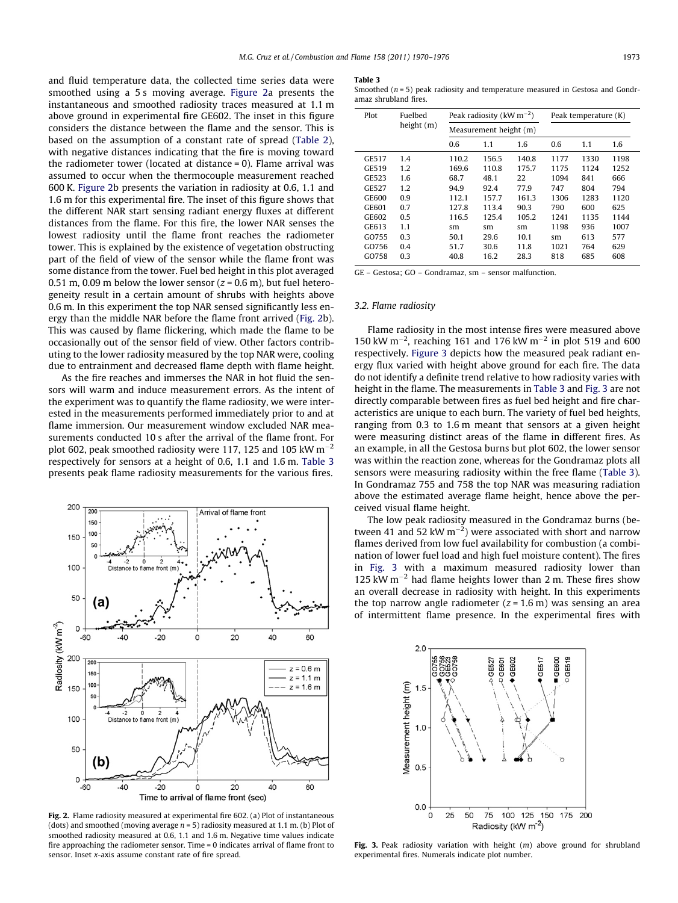<span id="page-3-0"></span>and fluid temperature data, the collected time series data were smoothed using a 5 s moving average. Figure 2a presents the instantaneous and smoothed radiosity traces measured at 1.1 m above ground in experimental fire GE602. The inset in this figure considers the distance between the flame and the sensor. This is based on the assumption of a constant rate of spread [\(Table 2\)](#page-2-0), with negative distances indicating that the fire is moving toward the radiometer tower (located at distance = 0). Flame arrival was assumed to occur when the thermocouple measurement reached 600 K. Figure 2b presents the variation in radiosity at 0.6, 1.1 and 1.6 m for this experimental fire. The inset of this figure shows that the different NAR start sensing radiant energy fluxes at different distances from the flame. For this fire, the lower NAR senses the lowest radiosity until the flame front reaches the radiometer tower. This is explained by the existence of vegetation obstructing part of the field of view of the sensor while the flame front was some distance from the tower. Fuel bed height in this plot averaged 0.51 m, 0.09 m below the lower sensor  $(z = 0.6$  m), but fuel heterogeneity result in a certain amount of shrubs with heights above 0.6 m. In this experiment the top NAR sensed significantly less energy than the middle NAR before the flame front arrived (Fig. 2b). This was caused by flame flickering, which made the flame to be occasionally out of the sensor field of view. Other factors contributing to the lower radiosity measured by the top NAR were, cooling due to entrainment and decreased flame depth with flame height.

As the fire reaches and immerses the NAR in hot fluid the sensors will warm and induce measurement errors. As the intent of the experiment was to quantify the flame radiosity, we were interested in the measurements performed immediately prior to and at flame immersion. Our measurement window excluded NAR measurements conducted 10 s after the arrival of the flame front. For plot 602, peak smoothed radiosity were 117, 125 and 105 kW  $\mathrm{m}^{-2}$ respectively for sensors at a height of 0.6, 1.1 and 1.6 m. Table 3 presents peak flame radiosity measurements for the various fires.



Fig. 2. Flame radiosity measured at experimental fire 602. (a) Plot of instantaneous (dots) and smoothed (moving average  $n = 5$ ) radiosity measured at 1.1 m. (b) Plot of smoothed radiosity measured at 0.6, 1.1 and 1.6 m. Negative time values indicate fire approaching the radiometer sensor. Time = 0 indicates arrival of flame front to sensor. Inset x-axis assume constant rate of fire spread.

#### Table 3

Smoothed ( $n = 5$ ) peak radiosity and temperature measured in Gestosa and Gondramaz shrubland fires.

| Plot  | Fuelbed      | Peak radiosity (kW $m^{-2}$ ) |       | Peak temperature (K) |      |      |      |
|-------|--------------|-------------------------------|-------|----------------------|------|------|------|
|       | height $(m)$ | Measurement height (m)        |       |                      |      |      |      |
|       |              | 0.6                           | 1.1   | 1.6                  | 0.6  | 1.1  | 1.6  |
| GE517 | 1.4          | 110.2                         | 156.5 | 140.8                | 1177 | 1330 | 1198 |
| GE519 | 1.2          | 169.6                         | 110.8 | 175.7                | 1175 | 1124 | 1252 |
| GE523 | 1.6          | 68.7                          | 48.1  | 22                   | 1094 | 841  | 666  |
| GE527 | 1.2          | 94.9                          | 92.4  | 77.9                 | 747  | 804  | 794  |
| GE600 | 0.9          | 112.1                         | 157.7 | 161.3                | 1306 | 1283 | 1120 |
| GE601 | 0.7          | 127.8                         | 113.4 | 90.3                 | 790  | 600  | 625  |
| GE602 | 0.5          | 116.5                         | 125.4 | 105.2                | 1241 | 1135 | 1144 |
| GE613 | 1.1          | sm                            | sm    | sm                   | 1198 | 936  | 1007 |
| GO755 | 0.3          | 50.1                          | 29.6  | 10.1                 | sm   | 613  | 577  |
| GO756 | 0.4          | 51.7                          | 30.6  | 11.8                 | 1021 | 764  | 629  |
| GO758 | 0.3          | 40.8                          | 16.2  | 28.3                 | 818  | 685  | 608  |

GE – Gestosa; GO – Gondramaz, sm – sensor malfunction.

# 3.2. Flame radiosity

Flame radiosity in the most intense fires were measured above 150 kW m<sup>-2</sup>, reaching 161 and 176 kW m<sup>-2</sup> in plot 519 and 600 respectively. Figure 3 depicts how the measured peak radiant energy flux varied with height above ground for each fire. The data do not identify a definite trend relative to how radiosity varies with height in the flame. The measurements in Table 3 and Fig. 3 are not directly comparable between fires as fuel bed height and fire characteristics are unique to each burn. The variety of fuel bed heights, ranging from 0.3 to 1.6 m meant that sensors at a given height were measuring distinct areas of the flame in different fires. As an example, in all the Gestosa burns but plot 602, the lower sensor was within the reaction zone, whereas for the Gondramaz plots all sensors were measuring radiosity within the free flame (Table 3). In Gondramaz 755 and 758 the top NAR was measuring radiation above the estimated average flame height, hence above the perceived visual flame height.

The low peak radiosity measured in the Gondramaz burns (between 41 and 52 kW  $m^{-2}$ ) were associated with short and narrow flames derived from low fuel availability for combustion (a combination of lower fuel load and high fuel moisture content). The fires in Fig. 3 with a maximum measured radiosity lower than 125 kW  $m^{-2}$  had flame heights lower than 2 m. These fires show an overall decrease in radiosity with height. In this experiments the top narrow angle radiometer  $(z = 1.6 \text{ m})$  was sensing an area of intermittent flame presence. In the experimental fires with



Fig. 3. Peak radiosity variation with height  $(m)$  above ground for shrubland experimental fires. Numerals indicate plot number.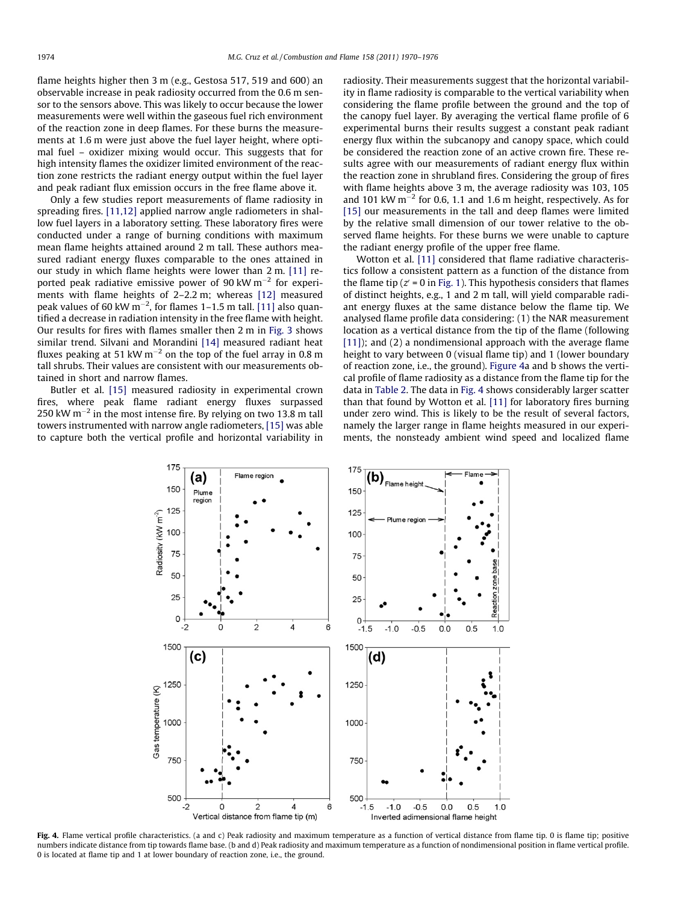<span id="page-4-0"></span>flame heights higher then 3 m (e.g., Gestosa 517, 519 and 600) an observable increase in peak radiosity occurred from the 0.6 m sensor to the sensors above. This was likely to occur because the lower measurements were well within the gaseous fuel rich environment of the reaction zone in deep flames. For these burns the measurements at 1.6 m were just above the fuel layer height, where optimal fuel – oxidizer mixing would occur. This suggests that for high intensity flames the oxidizer limited environment of the reaction zone restricts the radiant energy output within the fuel layer and peak radiant flux emission occurs in the free flame above it.

Only a few studies report measurements of flame radiosity in spreading fires. [\[11,12\]](#page-5-0) applied narrow angle radiometers in shallow fuel layers in a laboratory setting. These laboratory fires were conducted under a range of burning conditions with maximum mean flame heights attained around 2 m tall. These authors measured radiant energy fluxes comparable to the ones attained in our study in which flame heights were lower than 2 m. [\[11\]](#page-5-0) reported peak radiative emissive power of 90 kW  $m^{-2}$  for experiments with flame heights of 2–2.2 m; whereas [\[12\]](#page-5-0) measured peak values of 60 kW m<sup>-2</sup>, for flames 1–1.5 m tall. [\[11\]](#page-5-0) also quantified a decrease in radiation intensity in the free flame with height. Our results for fires with flames smaller then 2 m in [Fig. 3](#page-3-0) shows similar trend. Silvani and Morandini [\[14\]](#page-5-0) measured radiant heat fluxes peaking at 51 kW m $^{-2}$  on the top of the fuel array in 0.8 m tall shrubs. Their values are consistent with our measurements obtained in short and narrow flames.

Butler et al. [\[15\]](#page-5-0) measured radiosity in experimental crown fires, where peak flame radiant energy fluxes surpassed 250 kW m $^{-2}$  in the most intense fire. By relying on two 13.8 m tall towers instrumented with narrow angle radiometers, [\[15\]](#page-5-0) was able to capture both the vertical profile and horizontal variability in radiosity. Their measurements suggest that the horizontal variability in flame radiosity is comparable to the vertical variability when considering the flame profile between the ground and the top of the canopy fuel layer. By averaging the vertical flame profile of 6 experimental burns their results suggest a constant peak radiant energy flux within the subcanopy and canopy space, which could be considered the reaction zone of an active crown fire. These results agree with our measurements of radiant energy flux within the reaction zone in shrubland fires. Considering the group of fires with flame heights above 3 m, the average radiosity was 103, 105 and 101 kW  $m^{-2}$  for 0.6, 1.1 and 1.6 m height, respectively. As for [\[15\]](#page-5-0) our measurements in the tall and deep flames were limited by the relative small dimension of our tower relative to the observed flame heights. For these burns we were unable to capture the radiant energy profile of the upper free flame.

Wotton et al. [\[11\]](#page-5-0) considered that flame radiative characteristics follow a consistent pattern as a function of the distance from the flame tip  $(z = 0$  in [Fig. 1](#page-2-0)). This hypothesis considers that flames of distinct heights, e.g., 1 and 2 m tall, will yield comparable radiant energy fluxes at the same distance below the flame tip. We analysed flame profile data considering: (1) the NAR measurement location as a vertical distance from the tip of the flame (following [\[11\]](#page-5-0)); and (2) a nondimensional approach with the average flame height to vary between 0 (visual flame tip) and 1 (lower boundary of reaction zone, i.e., the ground). Figure 4a and b shows the vertical profile of flame radiosity as a distance from the flame tip for the data in [Table 2.](#page-2-0) The data in Fig. 4 shows considerably larger scatter than that found by Wotton et al. [\[11\]](#page-5-0) for laboratory fires burning under zero wind. This is likely to be the result of several factors, namely the larger range in flame heights measured in our experiments, the nonsteady ambient wind speed and localized flame



Fig. 4. Flame vertical profile characteristics. (a and c) Peak radiosity and maximum temperature as a function of vertical distance from flame tip. 0 is flame tip; positive numbers indicate distance from tip towards flame base. (b and d) Peak radiosity and maximum temperature as a function of nondimensional position in flame vertical profile. 0 is located at flame tip and 1 at lower boundary of reaction zone, i.e., the ground.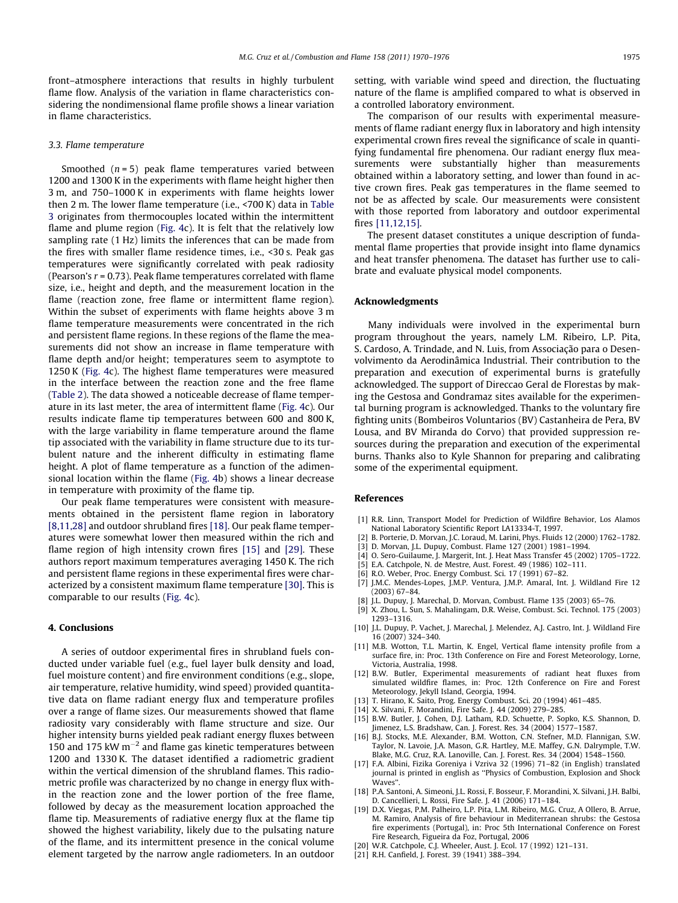<span id="page-5-0"></span>front–atmosphere interactions that results in highly turbulent flame flow. Analysis of the variation in flame characteristics considering the nondimensional flame profile shows a linear variation in flame characteristics.

## 3.3. Flame temperature

Smoothed  $(n = 5)$  peak flame temperatures varied between 1200 and 1300 K in the experiments with flame height higher then 3 m, and 750–1000 K in experiments with flame heights lower then 2 m. The lower flame temperature (i.e., <700 K) data in [Table](#page-3-0) [3](#page-3-0) originates from thermocouples located within the intermittent flame and plume region [\(Fig. 4c](#page-4-0)). It is felt that the relatively low sampling rate (1 Hz) limits the inferences that can be made from the fires with smaller flame residence times, i.e., <30 s. Peak gas temperatures were significantly correlated with peak radiosity (Pearson's  $r = 0.73$ ). Peak flame temperatures correlated with flame size, i.e., height and depth, and the measurement location in the flame (reaction zone, free flame or intermittent flame region). Within the subset of experiments with flame heights above 3 m flame temperature measurements were concentrated in the rich and persistent flame regions. In these regions of the flame the measurements did not show an increase in flame temperature with flame depth and/or height; temperatures seem to asymptote to 1250 K [\(Fig. 4](#page-4-0)c). The highest flame temperatures were measured in the interface between the reaction zone and the free flame ([Table 2](#page-2-0)). The data showed a noticeable decrease of flame temperature in its last meter, the area of intermittent flame ([Fig. 4](#page-4-0)c). Our results indicate flame tip temperatures between 600 and 800 K, with the large variability in flame temperature around the flame tip associated with the variability in flame structure due to its turbulent nature and the inherent difficulty in estimating flame height. A plot of flame temperature as a function of the adimensional location within the flame ([Fig. 4b](#page-4-0)) shows a linear decrease in temperature with proximity of the flame tip.

Our peak flame temperatures were consistent with measurements obtained in the persistent flame region in laboratory [8,11,28] and outdoor shrubland fires [18]. Our peak flame temperatures were somewhat lower then measured within the rich and flame region of high intensity crown fires [15] and [\[29\].](#page-6-0) These authors report maximum temperatures averaging 1450 K. The rich and persistent flame regions in these experimental fires were characterized by a consistent maximum flame temperature [\[30\].](#page-6-0) This is comparable to our results [\(Fig. 4c](#page-4-0)).

# 4. Conclusions

A series of outdoor experimental fires in shrubland fuels conducted under variable fuel (e.g., fuel layer bulk density and load, fuel moisture content) and fire environment conditions (e.g., slope, air temperature, relative humidity, wind speed) provided quantitative data on flame radiant energy flux and temperature profiles over a range of flame sizes. Our measurements showed that flame radiosity vary considerably with flame structure and size. Our higher intensity burns yielded peak radiant energy fluxes between 150 and 175 kW  $m^{-2}$  and flame gas kinetic temperatures between 1200 and 1330 K. The dataset identified a radiometric gradient within the vertical dimension of the shrubland flames. This radiometric profile was characterized by no change in energy flux within the reaction zone and the lower portion of the free flame, followed by decay as the measurement location approached the flame tip. Measurements of radiative energy flux at the flame tip showed the highest variability, likely due to the pulsating nature of the flame, and its intermittent presence in the conical volume element targeted by the narrow angle radiometers. In an outdoor setting, with variable wind speed and direction, the fluctuating nature of the flame is amplified compared to what is observed in a controlled laboratory environment.

The comparison of our results with experimental measurements of flame radiant energy flux in laboratory and high intensity experimental crown fires reveal the significance of scale in quantifying fundamental fire phenomena. Our radiant energy flux measurements were substantially higher than measurements obtained within a laboratory setting, and lower than found in active crown fires. Peak gas temperatures in the flame seemed to not be as affected by scale. Our measurements were consistent with those reported from laboratory and outdoor experimental fires [11,12,15].

The present dataset constitutes a unique description of fundamental flame properties that provide insight into flame dynamics and heat transfer phenomena. The dataset has further use to calibrate and evaluate physical model components.

# Acknowledgments

Many individuals were involved in the experimental burn program throughout the years, namely L.M. Ribeiro, L.P. Pita, S. Cardoso, A. Trindade, and N. Luis, from Associação para o Desenvolvimento da Aerodinâmica Industrial. Their contribution to the preparation and execution of experimental burns is gratefully acknowledged. The support of Direccao Geral de Florestas by making the Gestosa and Gondramaz sites available for the experimental burning program is acknowledged. Thanks to the voluntary fire fighting units (Bombeiros Voluntarios (BV) Castanheira de Pera, BV Lousa, and BV Miranda do Corvo) that provided suppression resources during the preparation and execution of the experimental burns. Thanks also to Kyle Shannon for preparing and calibrating some of the experimental equipment.

#### References

- [1] R.R. Linn, Transport Model for Prediction of Wildfire Behavior, Los Alamos National Laboratory Scientific Report LA13334-T, 1997.
- B. Porterie, D. Morvan, J.C. Loraud, M. Larini, Phys. Fluids 12 (2000) 1762-1782.
- [3] D. Morvan, J.L. Dupuy, Combust. Flame 127 (2001) 1981–1994.
- [4] O. Sero-Guilaume, J. Margerit, Int. J. Heat Mass Transfer 45 (2002) 1705–1722.
- [5] E.A. Catchpole, N. de Mestre, Aust. Forest. 49 (1986) 102–111.
- [6] R.O. Weber, Proc. Energy Combust. Sci. 17 (1991) 67–82.
- [7] J.M.C. Mendes-Lopes, J.M.P. Ventura, J.M.P. Amaral, Int. J. Wildland Fire 12 (2003) 67–84.
- J.L. Dupuy, J. Marechal, D. Morvan, Combust. Flame 135 (2003) 65-76.
- [9] X. Zhou, L. Sun, S. Mahalingam, D.R. Weise, Combust. Sci. Technol. 175 (2003) 1293–1316.
- [10] J.L. Dupuy, P. Vachet, J. Marechal, J. Melendez, A.J. Castro, Int. J. Wildland Fire 16 (2007) 324–340.
- [11] M.B. Wotton, T.L. Martin, K. Engel, Vertical flame intensity profile from a surface fire, in: Proc. 13th Conference on Fire and Forest Meteorology, Lorne, Victoria, Australia, 1998.
- [12] B.W. Butler, Experimental measurements of radiant heat fluxes from simulated wildfire flames, in: Proc. 12th Conference on Fire and Forest Meteorology, Jekyll Island, Georgia, 1994.
- [13] T. Hirano, K. Saito, Prog. Energy Combust. Sci. 20 (1994) 461–485.
- [14] X. Silvani, F. Morandini, Fire Safe. J. 44 (2009) 279–285.
- [15] B.W. Butler, J. Cohen, D.J. Latham, R.D. Schuette, P. Sopko, K.S. Shannon, D. Jimenez, L.S. Bradshaw, Can. J. Forest. Res. 34 (2004) 1577–1587.
- [16] B.J. Stocks, M.E. Alexander, B.M. Wotton, C.N. Stefner, M.D. Flannigan, S.W. Taylor, N. Lavoie, J.A. Mason, G.R. Hartley, M.E. Maffey, G.N. Dalrymple, T.W. Blake, M.G. Cruz, R.A. Lanoville, Can. J. Forest. Res. 34 (2004) 1548–1560.
- [17] F.A. Albini, Fizika Goreniya i Vzriva 32 (1996) 71–82 (in English) translated journal is printed in english as ''Physics of Combustion, Explosion and Shock Waves''.
- [18] P.A. Santoni, A. Simeoni, J.L. Rossi, F. Bosseur, F. Morandini, X. Silvani, J.H. Balbi, D. Cancellieri, L. Rossi, Fire Safe. J. 41 (2006) 171–184.
- [19] D.X. Viegas, P.M. Palheiro, L.P. Pita, L.M. Ribeiro, M.G. Cruz, A Ollero, B. Arrue, M. Ramiro, Analysis of fire behaviour in Mediterranean shrubs: the Gestosa fire experiments (Portugal), in: Proc 5th International Conference on Forest Fire Research, Figueira da Foz, Portugal, 2006
- [20] W.R. Catchpole, C.J. Wheeler, Aust. J. Ecol. 17 (1992) 121–131.
- [21] R.H. Canfield, J. Forest. 39 (1941) 388–394.